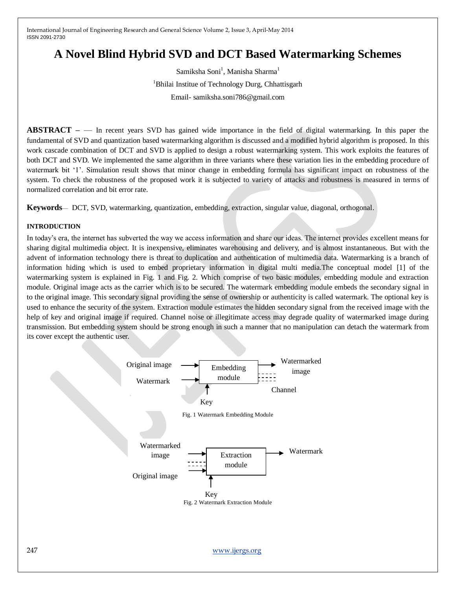# **A Novel Blind Hybrid SVD and DCT Based Watermarking Schemes**

 $\mathrm{Samiksha Soni}^{1}$ , Manisha  $\mathrm{Sharma}^{1}$ <sup>1</sup>Bhilai Institue of Technology Durg, Chhattisgarh Email- samiksha.soni786@gmail.com

**ABSTRACT –** — In recent years SVD has gained wide importance in the field of digital watermarking. In this paper the fundamental of SVD and quantization based watermarking algorithm is discussed and a modified hybrid algorithm is proposed. In this work cascade combination of DCT and SVD is applied to design a robust watermarking system. This work exploits the features of both DCT and SVD. We implemented the same algorithm in three variants where these variation lies in the embedding procedure of watermark bit ‗1'. Simulation result shows that minor change in embedding formula has significant impact on robustness of the system. To check the robustness of the proposed work it is subjected to variety of attacks and robustness is measured in terms of normalized correlation and bit error rate.

**Keywords**— DCT, SVD, watermarking, quantization, embedding, extraction, singular value, diagonal, orthogonal.

## **INTRODUCTION**

In today's era, the internet has subverted the way we access information and share our ideas. The internet provides excellent means for sharing digital multimedia object. It is inexpensive, eliminates warehousing and delivery, and is almost instantaneous. But with the advent of information technology there is threat to duplication and authentication of multimedia data. Watermarking is a branch of information hiding which is used to embed proprietary information in digital multi media.The conceptual model [1] of the watermarking system is explained in Fig. 1 and Fig. 2. Which comprise of two basic modules, embedding module and extraction module. Original image acts as the carrier which is to be secured. The watermark embedding module embeds the secondary signal in to the original image. This secondary signal providing the sense of ownership or authenticity is called watermark. The optional key is used to enhance the security of the system. Extraction module estimates the hidden secondary signal from the received image with the help of key and original image if required. Channel noise or illegitimate access may degrade quality of watermarked image during transmission. But embedding system should be strong enough in such a manner that no manipulation can detach the watermark from its cover except the authentic user.

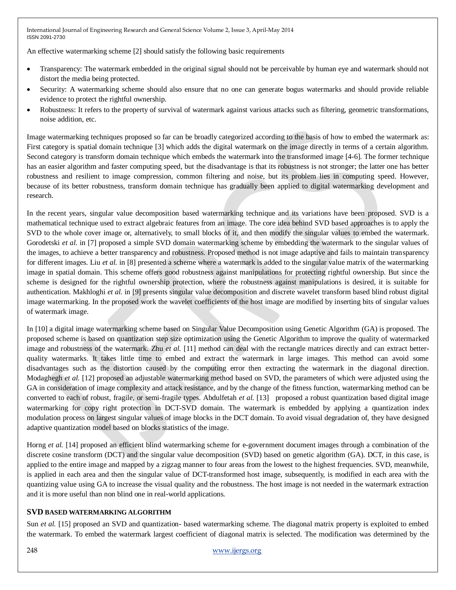An effective watermarking scheme [2] should satisfy the following basic requirements

- Transparency: The watermark embedded in the original signal should not be perceivable by human eye and watermark should not distort the media being protected.
- Security: A watermarking scheme should also ensure that no one can generate bogus watermarks and should provide reliable evidence to protect the rightful ownership.
- Robustness: It refers to the property of survival of watermark against various attacks such as filtering, geometric transformations, noise addition, etc.

Image watermarking techniques proposed so far can be broadly categorized according to the basis of how to embed the watermark as: First category is spatial domain technique [3] which adds the digital watermark on the image directly in terms of a certain algorithm. Second category is transform domain technique which embeds the watermark into the transformed image [4-6]. The former technique has an easier algorithm and faster computing speed, but the disadvantage is that its robustness is not stronger; the latter one has better robustness and resilient to image compression, common filtering and noise, but its problem lies in computing speed. However, because of its better robustness, transform domain technique has gradually been applied to digital watermarking development and research.

In the recent years, singular value decomposition based watermarking technique and its variations have been proposed. SVD is a mathematical technique used to extract algebraic features from an image. The core idea behind SVD based approaches is to apply the SVD to the whole cover image or, alternatively, to small blocks of it, and then modify the singular values to embed the watermark. Gorodetski *et al.* in [7] proposed a simple SVD domain watermarking scheme by embedding the watermark to the singular values of the images, to achieve a better transparency and robustness. Proposed method is not image adaptive and fails to maintain transparency for different images. Liu *et al.* in [8] presented a scheme where a watermark is added to the singular value matrix of the watermarking image in spatial domain. This scheme offers good robustness against manipulations for protecting rightful ownership. But since the scheme is designed for the rightful ownership protection, where the robustness against manipulations is desired, it is suitable for authentication. Makhloghi *et al.* in [9] presents singular value decomposition and discrete wavelet transform based blind robust digital image watermarking. In the proposed work the wavelet coefficients of the host image are modified by inserting bits of singular values of watermark image.

In [10] a digital image watermarking scheme based on Singular Value Decomposition using Genetic Algorithm (GA) is proposed. The proposed scheme is based on quantization step size optimization using the Genetic Algorithm to improve the quality of watermarked image and robustness of the watermark. Zhu *et al.* [11] method can deal with the rectangle matrices directly and can extract betterquality watermarks. It takes little time to embed and extract the watermark in large images. This method can avoid some disadvantages such as the distortion caused by the computing error then extracting the watermark in the diagonal direction. Modaghegh *et al.* [12] proposed an adjustable watermarking method based on SVD, the parameters of which were adjusted using the GA in consideration of image complexity and attack resistance, and by the change of the fitness function, watermarking method can be converted to each of robust, fragile, or semi-fragile types. Abdulfetah *et al.* [13] proposed a robust quantization based digital image watermarking for copy right protection in DCT-SVD domain. The watermark is embedded by applying a quantization index modulation process on largest singular values of image blocks in the DCT domain. To avoid visual degradation of, they have designed adaptive quantization model based on blocks statistics of the image.

Horng *et al.* [14] proposed an efficient blind watermarking scheme for e-government document images through a combination of the discrete cosine transform (DCT) and the singular value decomposition (SVD) based on genetic algorithm (GA). DCT, in this case, is applied to the entire image and mapped by a zigzag manner to four areas from the lowest to the highest frequencies. SVD, meanwhile, is applied in each area and then the singular value of DCT-transformed host image, subsequently, is modified in each area with the quantizing value using GA to increase the visual quality and the robustness. The host image is not needed in the watermark extraction and it is more useful than non blind one in real-world applications.

# **SVD BASED WATERMARKING ALGORITHM**

Sun *et al.* [15] proposed an SVD and quantization- based watermarking scheme. The diagonal matrix property is exploited to embed the watermark. To embed the watermark largest coefficient of diagonal matrix is selected. The modification was determined by the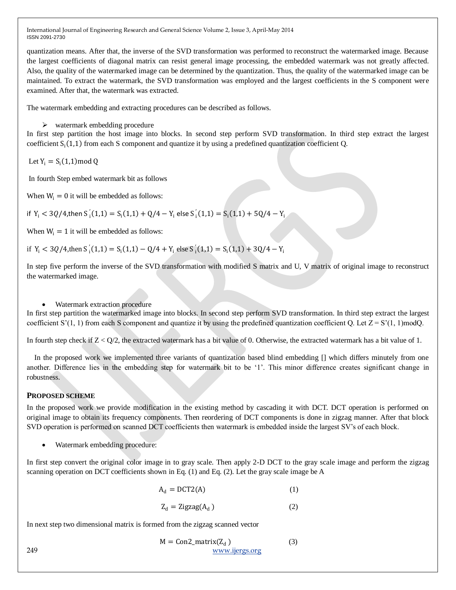quantization means. After that, the inverse of the SVD transformation was performed to reconstruct the watermarked image. Because the largest coefficients of diagonal matrix can resist general image processing, the embedded watermark was not greatly affected. Also, the quality of the watermarked image can be determined by the quantization. Thus, the quality of the watermarked image can be maintained. To extract the watermark, the SVD transformation was employed and the largest coefficients in the S component were examined. After that, the watermark was extracted.

The watermark embedding and extracting procedures can be described as follows.

 $\triangleright$  watermark embedding procedure

In first step partition the host image into blocks. In second step perform SVD transformation. In third step extract the largest coefficient  $S_i(1,1)$  from each S component and quantize it by using a predefined quantization coefficient Q.

Let  $Y_i = S_i(1,1) \text{mod } Q$ 

In fourth Step embed watermark bit as follows

When  $W_i = 0$  it will be embedded as follows:

if  $Y_i < 3Q/4$ ,then  $S_i(1,1) = S_i(1,1) + Q/4 - Y_i$  else  $S_i(1,1) = S_i(1,1) + 5Q/4 - Y_i$ 

When  $W_i = 1$  it will be embedded as follows:

if  $Y_i < 3Q/4$ , then  $S'_i(1,1) = S_i(1,1) - Q/4 + Y_i$  else  $S'_i(1,1) = S_i(1,1) + 3Q/4 - Y_i$ 

In step five perform the inverse of the SVD transformation with modified S matrix and U, V matrix of original image to reconstruct the watermarked image.

## Watermark extraction procedure

In first step partition the watermarked image into blocks. In second step perform SVD transformation. In third step extract the largest coefficient S'(1, 1) from each S component and quantize it by using the predefined quantization coefficient Q. Let  $Z = S'(1, 1)$  modQ.

In fourth step check if  $Z < O/2$ , the extracted watermark has a bit value of 0. Otherwise, the extracted watermark has a bit value of 1.

In the proposed work we implemented three variants of quantization based blind embedding [] which differs minutely from one another. Difference lies in the embedding step for watermark bit to be ‗1'. This minor difference creates significant change in robustness.

# **PROPOSED SCHEME**

In the proposed work we provide modification in the existing method by cascading it with DCT. DCT operation is performed on original image to obtain its frequency components. Then reordering of DCT components is done in zigzag manner. After that block SVD operation is performed on scanned DCT coefficients then watermark is embedded inside the largest SV's of each block.

Watermark embedding procedure:

In first step convert the original color image in to gray scale. Then apply 2-D DCT to the gray scale image and perform the zigzag scanning operation on DCT coefficients shown in Eq. (1) and Eq. (2). Let the gray scale image be A

$$
A_d = DCT2(A) \tag{1}
$$

$$
Z_d = \text{Zigzag}(A_d) \tag{2}
$$

In next step two dimensional matrix is formed from the zigzag scanned vector

$$
M = Con2_matrix(Zd)
$$
 (3)  
249 www.jjergs.org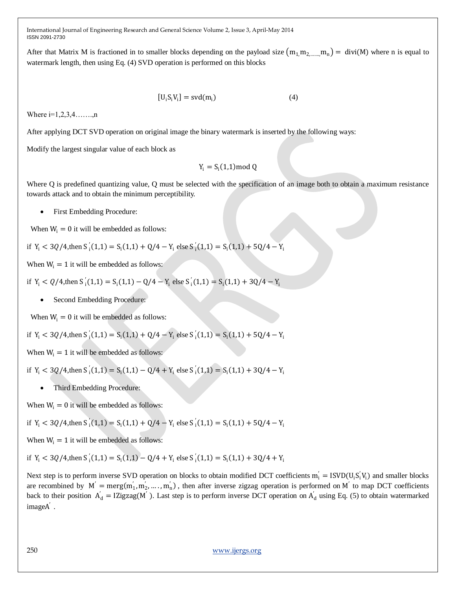After that Matrix M is fractioned in to smaller blocks depending on the payload size  $(m_1, m_2, \ldots, m_n) = divi(M)$  where n is equal to watermark length, then using Eq. (4) SVD operation is performed on this blocks

$$
[U_i S_i V_i] = svd(m_i)
$$
 (4)

Where  $i=1,2,3,4,...,n$ 

After applying DCT SVD operation on original image the binary watermark is inserted by the following ways:

Modify the largest singular value of each block as

$$
Y_i = S_i(1,1) \text{mod } Q
$$

Where Q is predefined quantizing value, Q must be selected with the specification of an image both to obtain a maximum resistance towards attack and to obtain the minimum perceptibility.

• First Embedding Procedure:

When  $W_i = 0$  it will be embedded as follows:

if 
$$
Y_i < 3Q/4
$$
, then  $S_i(1,1) = S_i(1,1) + Q/4 - Y_i$  else  $S_i(1,1) = S_i(1,1) + 5Q/4 - Y_i$ 

When  $W_i = 1$  it will be embedded as follows:

if  $Y_i < Q/4$ , then  $S'_i(1,1) = S_i(1,1) - Q/4 - Y_i$  else  $S'_i(1,1) = S_i(1,1) + 3Q/4 - Y_i$ 

• Second Embedding Procedure:

When  $W_i = 0$  it will be embedded as follows:

if 
$$
Y_i
$$
 < 3Q/4, then  $S'_i(1,1) = S_i(1,1) + Q/4 - Y_i$  else  $S'_i(1,1) = S_i(1,1) + 5Q/4 - Y_i$ 

When  $W_i = 1$  it will be embedded as follows:

if  $Y_i < 3Q/4$ , then  $S'_i(1,1) = S_i(1,1) - Q/4 + Y_i$  else  $S'_i(1,1) = S_i(1,1) + 3Q/4 - Y_i$ 

Third Embedding Procedure:

When  $W_i = 0$  it will be embedded as follows:

if 
$$
Y_i
$$
 < 3Q/4, then  $S'_i(1,1) = S_i(1,1) + Q/4 - Y_i$  else  $S'_i(1,1) = S_i(1,1) + 5Q/4 - Y_i$ 

When  $W_i = 1$  it will be embedded as follows:

if  $Y_i < 3Q/4$ , then  $S'_i(1,1) = S_i(1,1) - Q/4 + Y_i$  else  $S'_i(1,1) = S_i(1,1) + 3Q/4 + Y_i$ 

Next step is to perform inverse SVD operation on blocks to obtain modified DCT coefficients  $m_i' = ISVD(U_iS_i'V_i)$  and smaller blocks are recombined by  $M' = \text{merg}(m'_1, m'_2, \dots, m'_n)$ , then after inverse zigzag operation is performed on M' to map DCT coefficients back to their position  $A_d' = IZigzag(M')$ . Last step is to perform inverse DCT operation on  $A_d'$  using Eq. (5) to obtain watermarked imageA ′ .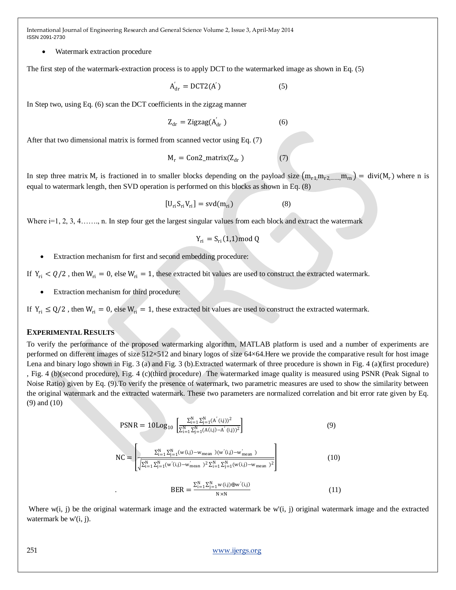Watermark extraction procedure

The first step of the watermark-extraction process is to apply DCT to the watermarked image as shown in Eq. (5)

$$
A'_{dr} = DCT2(A') \tag{5}
$$

In Step two, using Eq. (6) scan the DCT coefficients in the zigzag manner

$$
Z_{dr} = \text{Zigzag}(A_{dr}^{'})
$$
 (6)

After that two dimensional matrix is formed from scanned vector using Eq. (7)

$$
M_r = Con2_matrix(Z_{dr})
$$
 (7)

In step three matrix  $M_r$  is fractioned in to smaller blocks depending on the payload size  $(m_{r1,m_{r2,......}m_{rn}}) = divi(M_r)$  where n is equal to watermark length, then SVD operation is performed on this blocks as shown in Eq. (8)

$$
[U_{ri}S_{ri}V_{ri}] = svd(m_{ri})
$$
 (8)

Where  $i=1, 2, 3, 4, \ldots$ , n. In step four get the largest singular values from each block and extract the watermark

$$
Y_{ri} = S_{ri}(1,1) \text{mod } Q
$$

Extraction mechanism for first and second embedding procedure:

If  $Y_{ri} < Q/2$ , then  $W_{ri} = 0$ , else  $W_{ri} = 1$ , these extracted bit values are used to construct the extracted watermark.

Extraction mechanism for third procedure:

If  $Y_{ri} \leq Q/2$ , then  $W_{ri} = 0$ , else  $W_{ri} = 1$ , these extracted bit values are used to construct the extracted watermark.

#### **EXPERIMENTAL RESULTS**

To verify the performance of the proposed watermarking algorithm, MATLAB platform is used and a number of experiments are performed on different images of size 512×512 and binary logos of size 64×64.Here we provide the comparative result for host image Lena and binary logo shown in Fig. 3 (a) and Fig. 3 (b).Extracted watermark of three procedure is shown in Fig. 4 (a)(first procedure) , Fig. 4 (b)(second procedure), Fig. 4 (c)(third procedure) The watermarked image quality is measured using PSNR (Peak Signal to Noise Ratio) given by Eq. (9).To verify the presence of watermark, two parametric measures are used to show the similarity between the original watermark and the extracted watermark. These two parameters are normalized correlation and bit error rate given by Eq. (9) and (10)

$$
PSNR = 10Log_{10} \left[ \frac{\sum_{i=1}^{N} \sum_{j=1}^{N} (A^{'}(i,j))^2}{\sum_{i=1}^{N} \sum_{j=1}^{N} (A(i,j) - A^{'}(i,j))^2} \right]
$$
(9)  

$$
NC = \left[ \frac{\sum_{i=1}^{N} \sum_{j=1}^{N} (w(i,j) - w_{mean})(w^{'}(i,j) - w^{'}_{mean})}{\sqrt{\sum_{i=1}^{N} \sum_{j=1}^{N} (w^{'}(i,j) - w^{'}_{mean})^2} \sum_{i=1}^{N} \sum_{j=1}^{N} (w(i,j) - w_{mean})^2} \right]
$$
(10)

$$
BER = \frac{\sum_{i=1}^{N} \sum_{j=1}^{N} w(i,j) \oplus w'(i,j)}{N \times N}
$$
(11)

Where  $w(i, j)$  be the original watermark image and the extracted watermark be  $w'(i, j)$  original watermark image and the extracted watermark be w'(*i*, *j*).

251 [www.ijergs.org](http://www.ijergs.org/)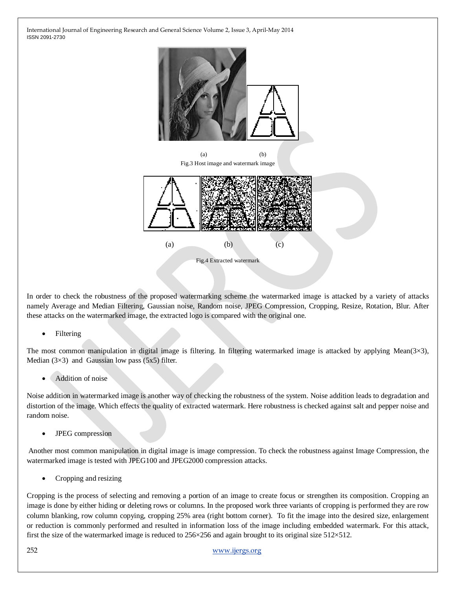

In order to check the robustness of the proposed watermarking scheme the watermarked image is attacked by a variety of attacks namely Average and Median Filtering, Gaussian noise, Random noise, JPEG Compression, Cropping, Resize, Rotation, Blur. After these attacks on the watermarked image, the extracted logo is compared with the original one.

Filtering

The most common manipulation in digital image is filtering. In filtering watermarked image is attacked by applying Mean( $3\times3$ ), Median  $(3\times3)$  and Gaussian low pass  $(5x5)$  filter.

Addition of noise

Noise addition in watermarked image is another way of checking the robustness of the system. Noise addition leads to degradation and distortion of the image. Which effects the quality of extracted watermark. Here robustness is checked against salt and pepper noise and random noise.

• JPEG compression

Another most common manipulation in digital image is image compression. To check the robustness against Image Compression, the watermarked image is tested with JPEG100 and JPEG2000 compression attacks.

Cropping and resizing

Cropping is the process of selecting and removing a portion of an image to create focus or strengthen its composition. Cropping an image is done by either hiding or deleting rows or columns. In the proposed work three variants of cropping is performed they are row column blanking, row column copying, cropping 25% area (right bottom corner). To fit the image into the desired size, enlargement or reduction is commonly performed and resulted in information loss of the image including embedded watermark. For this attack, first the size of the watermarked image is reduced to 256×256 and again brought to its original size 512×512.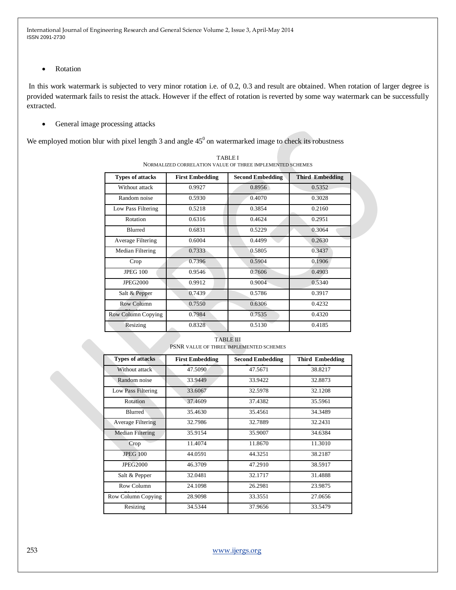• Rotation

In this work watermark is subjected to very minor rotation i.e. of 0.2, 0.3 and result are obtained. When rotation of larger degree is provided watermark fails to resist the attack. However if the effect of rotation is reverted by some way watermark can be successfully extracted.

• General image processing attacks

We employed motion blur with pixel length 3 and angle  $45^0$  on watermarked image to check its robustness

| <b>Types of attacks</b> | <b>First Embedding</b> | <b>Second Embedding</b> | <b>Third Embedding</b> |
|-------------------------|------------------------|-------------------------|------------------------|
| Without attack          | 0.9927                 | 0.8956                  | 0.5352                 |
| Random noise            | 0.5930                 | 0.4070                  | 0.3028                 |
| Low Pass Filtering      | 0.5218                 | 0.3854                  | 0.2160                 |
| Rotation                | 0.6316                 | 0.4624                  | 0.2951                 |
| <b>Blurred</b>          | 0.6831                 | 0.5229                  | 0.3064                 |
| Average Filtering       | 0.6004                 | 0.4499                  | 0.2630                 |
| Median Filtering        | 0.7333                 | 0.5805                  | 0.3437                 |
| Crop                    | 0.7396                 | 0.5904                  | 0.1906                 |
| <b>JPEG 100</b>         | 0.9546                 | 0.7606                  | 0.4903                 |
| <b>JPEG2000</b>         | 0.9912                 | 0.9004                  | 0.5340                 |
| Salt & Pepper           | 0.7439                 | 0.5786                  | 0.3917                 |
| Row Column              | 0.7550                 | 0.6306                  | 0.4232                 |
| Row Column Copying      | 0.7984                 | 0.7535                  | 0.4320                 |
| Resizing                | 0.8328                 | 0.5130                  | 0.4185                 |

TABLE I NORMALIZED CORRELATION VALUE OF THREE IMPLEMENTED SCHEMES

TABLE III PSNR VALUE OF THREE IMPLEMENTED SCHEMES

| <b>Types of attacks</b> | <b>First Embedding</b> | <b>Second Embedding</b> | <b>Third Embedding</b> |
|-------------------------|------------------------|-------------------------|------------------------|
| Without attack          | 47.5090                | 47.5671                 | 38.8217                |
| Random noise            | 33.9449                | 33.9422                 | 32.8873                |
| Low Pass Filtering      | 33.6067                | 32.5978                 | 32.1208                |
| Rotation                | 37.4609                | 37.4382                 | 35.5961                |
| <b>Blurred</b>          | 35.4630                | 35.4561                 | 34.3489                |
| Average Filtering       | 32.7986                | 32.7889                 | 32.2431                |
| Median Filtering        | 35.9154                | 35.9007                 | 34.6384                |
| Crop                    | 11.4074                | 11.8670                 | 11.3010                |
| <b>JPEG 100</b>         | 44.0591                | 44.3251                 | 38.2187                |
| <b>JPEG2000</b>         | 46.3709                | 47.2910                 | 38.5917                |
| Salt & Pepper           | 32.0481                | 32.1717                 | 31.4888                |
| Row Column              | 24.1098                | 26.2981                 | 23.9875                |
| Row Column Copying      | 28.9098                | 33.3551                 | 27.0656                |
| Resizing                | 34.5344                | 37.9656                 | 33.5479                |

253 [www.ijergs.org](http://www.ijergs.org/)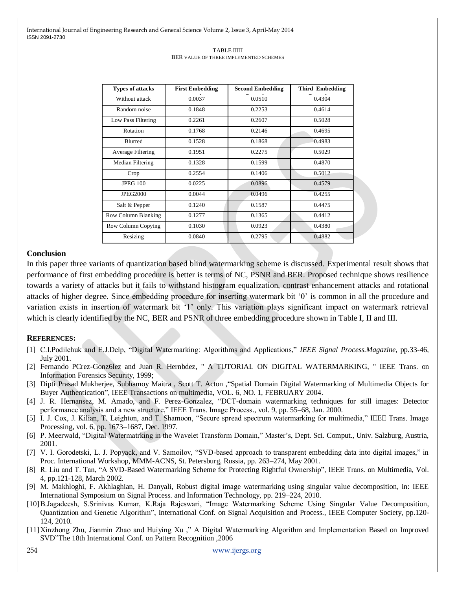| <b>Types of attacks</b>  | <b>First Embedding</b> | <b>Second Embedding</b> | <b>Third Embedding</b> |
|--------------------------|------------------------|-------------------------|------------------------|
| Without attack           | 0.0037                 | 0.0510                  | 0.4304                 |
| Random noise             | 0.1848                 | 0.2253                  | 0.4614                 |
| Low Pass Filtering       | 0.2261                 | 0.2607                  | 0.5028                 |
| Rotation                 | 0.1768                 | 0.2146                  | 0.4695                 |
| <b>Blurred</b>           | 0.1528                 | 0.1868                  | 0.4983                 |
| <b>Average Filtering</b> | 0.1951                 | 0.2275                  | 0.5029                 |
| Median Filtering         | 0.1328                 | 0.1599                  | 0.4870                 |
| Crop                     | 0.2554                 | 0.1406                  | 0.5012                 |
| <b>JPEG 100</b>          | 0.0225                 | 0.0896                  | 0.4579                 |
| <b>JPEG2000</b>          | 0.0044                 | 0.0496                  | 0.4255                 |
| Salt & Pepper            | 0.1240                 | 0.1587                  | 0.4475                 |
| Row Column Blanking      | 0.1277                 | 0.1365                  | 0.4412                 |
| Row Column Copying       | 0.1030                 | 0.0923                  | 0.4380                 |
| Resizing                 | 0.0840                 | 0.2795                  | 0.4882                 |

#### TABLE IIIII BER VALUE OF THREE IMPLEMENTED SCHEMES

# **Conclusion**

In this paper three variants of quantization based blind watermarking scheme is discussed. Experimental result shows that performance of first embedding procedure is better is terms of NC, PSNR and BER. Proposed technique shows resilience towards a variety of attacks but it fails to withstand histogram equalization, contrast enhancement attacks and rotational attacks of higher degree. Since embedding procedure for inserting watermark bit ‗0' is common in all the procedure and variation exists in insertion of watermark bit ‗1' only. This variation plays significant impact on watermark retrieval which is clearly identified by the NC, BER and PSNR of three embedding procedure shown in Table I, II and III.

## **REFERENCES:**

- [1] C.I.Podilchuk and E.J.Delp, "Digital Watermarking: Algorithms and Applications," *IEEE Signal Process.Magazine*, pp.33-46, July 2001.
- [2] Fernando PCrez-Gonz6lez and Juan R. Hernbdez, " A TUTORIAL ON DIGITAL WATERMARKING, " IEEE Trans. on Information Forensics Security, 1999;
- [3] Dipti Prasad Mukherjee, Subhamoy Maitra, Scott T. Acton , "Spatial Domain Digital Watermarking of Multimedia Objects for Buyer Authentication", IEEE Transactions on multimedia, VOL. 6, NO. 1, FEBRUARY 2004.
- [4] J. R. Hernansez, M. Amado, and F. Perez-Gonzalez, "DCT-domain watermarking techniques for still images: Detector performance analysis and a new structure," IEEE Trans. Image Process., vol. 9, pp. 55–68, Jan. 2000.
- [5] I. J. Cox, J. Kilian, T. Leighton, and T. Shamoon, "Secure spread spectrum watermarking for multimedia," IEEE Trans. Image Processing, vol. 6, pp. 1673–1687, Dec. 1997.
- [6] P. Meerwald, "Digital Watermatrking in the Wavelet Transform Domain," Master's, Dept. Sci. Comput., Univ. Salzburg, Austria, 2001.
- [7] V. I. Gorodetski, L. J. Popyack, and V. Samoilov, "SVD-based approach to transparent embedding data into digital images," in Proc. International Workshop, MMM-ACNS, St. Petersburg, Russia, pp. 263–274, May 2001.
- [8] R. Liu and T. Tan, "A SVD-Based Watermarking Scheme for Protecting Rightful Ownership", IEEE Trans. on Multimedia, Vol. 4, pp.121-128, March 2002.
- [9] M. Makhloghi, F. Akhlaghian, H. Danyali, Robust digital image watermarking using singular value decomposition, in: IEEE International Symposium on Signal Process. and Information Technology, pp. 219–224, 2010.
- [10]B.Jagadeesh, S.Srinivas Kumar, K.Raja Rajeswari, "Image Watermarking Scheme Using Singular Value Decomposition, Quantization and Genetic Algorithm‖, International Conf. on Signal Acquisition and Process., IEEE Computer Society, pp.120- 124, 2010.
- [11]Xinzhong Zhu, Jianmin Zhao and Huiying Xu," A Digital Watermarking Algorithm and Implementation Based on Improved SVD"The 18th International Conf. on Pattern Recognition , 2006